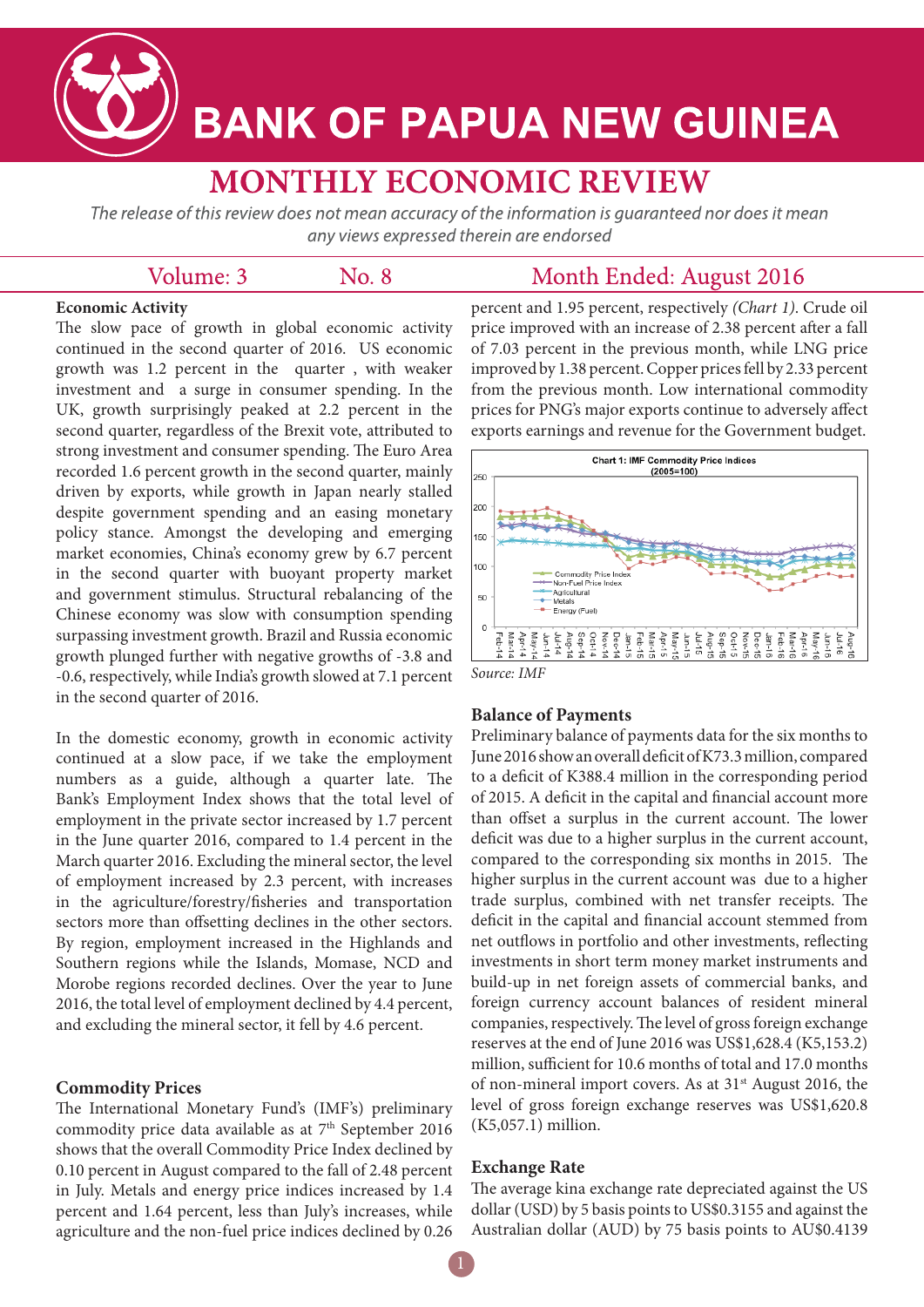

# **BANK OF PAPUA NEW GUINEA**

## **MONTHLY ECONOMIC REVIEW**

The release of this review does not mean accuracy of the information is quaranteed nor does it mean any views expressed therein are endorsed

No. 8

| Volume: 3 |  |
|-----------|--|
|           |  |

### Month Ended: August 2016

#### **Economic Activity**

The slow pace of growth in global economic activity continued in the second quarter of 2016. US economic growth was 1.2 percent in the quarter , with weaker investment and a surge in consumer spending. In the UK, growth surprisingly peaked at 2.2 percent in the second quarter, regardless of the Brexit vote, attributed to strong investment and consumer spending. The Euro Area recorded 1.6 percent growth in the second quarter, mainly driven by exports, while growth in Japan nearly stalled despite government spending and an easing monetary policy stance. Amongst the developing and emerging market economies, China's economy grew by 6.7 percent in the second quarter with buoyant property market and government stimulus. Structural rebalancing of the Chinese economy was slow with consumption spending surpassing investment growth. Brazil and Russia economic growth plunged further with negative growths of -3.8 and -0.6, respectively, while India's growth slowed at 7.1 percent in the second quarter of 2016.

In the domestic economy, growth in economic activity continued at a slow pace, if we take the employment numbers as a guide, although a quarter late. The Bank's Employment Index shows that the total level of employment in the private sector increased by 1.7 percent in the June quarter 2016, compared to 1.4 percent in the March quarter 2016. Excluding the mineral sector, the level of employment increased by 2.3 percent, with increases in the agriculture/forestry/fisheries and transportation sectors more than offsetting declines in the other sectors. By region, employment increased in the Highlands and Southern regions while the Islands, Momase, NCD and Morobe regions recorded declines. Over the year to June 2016, the total level of employment declined by 4.4 percent, and excluding the mineral sector, it fell by 4.6 percent.

#### **Commodity Prices**

The International Monetary Fund's (IMF's) preliminary commodity price data available as at 7<sup>th</sup> September 2016 shows that the overall Commodity Price Index declined by 0.10 percent in August compared to the fall of 2.48 percent in July. Metals and energy price indices increased by 1.4 percent and 1.64 percent, less than July's increases, while agriculture and the non-fuel price indices declined by 0.26

percent and 1.95 percent, respectively *(Chart 1)*. Crude oil price improved with an increase of 2.38 percent after a fall of 7.03 percent in the previous month, while LNG price improved by 1.38 percent. Copper prices fell by 2.33 percent from the previous month. Low international commodity prices for PNG's major exports continue to adversely affect exports earnings and revenue for the Government budget.



#### **Balance of Payments**

Preliminary balance of payments data for the six months to June 2016 show an overall deficit of K73.3 million, compared to a deficit of K388.4 million in the corresponding period of 2015. A deficit in the capital and financial account more than offset a surplus in the current account. The lower deficit was due to a higher surplus in the current account, compared to the corresponding six months in 2015. The higher surplus in the current account was due to a higher trade surplus, combined with net transfer receipts. The deficit in the capital and financial account stemmed from net outflows in portfolio and other investments, reflecting investments in short term money market instruments and build-up in net foreign assets of commercial banks, and foreign currency account balances of resident mineral companies, respectively. The level of gross foreign exchange reserves at the end of June 2016 was US\$1,628.4 (K5,153.2) million, sufficient for 10.6 months of total and 17.0 months of non-mineral import covers. As at 31st August 2016, the level of gross foreign exchange reserves was US\$1,620.8 (K5,057.1) million.

#### **Exchange Rate**

The average kina exchange rate depreciated against the US dollar (USD) by 5 basis points to US\$0.3155 and against the Australian dollar (AUD) by 75 basis points to AU\$0.4139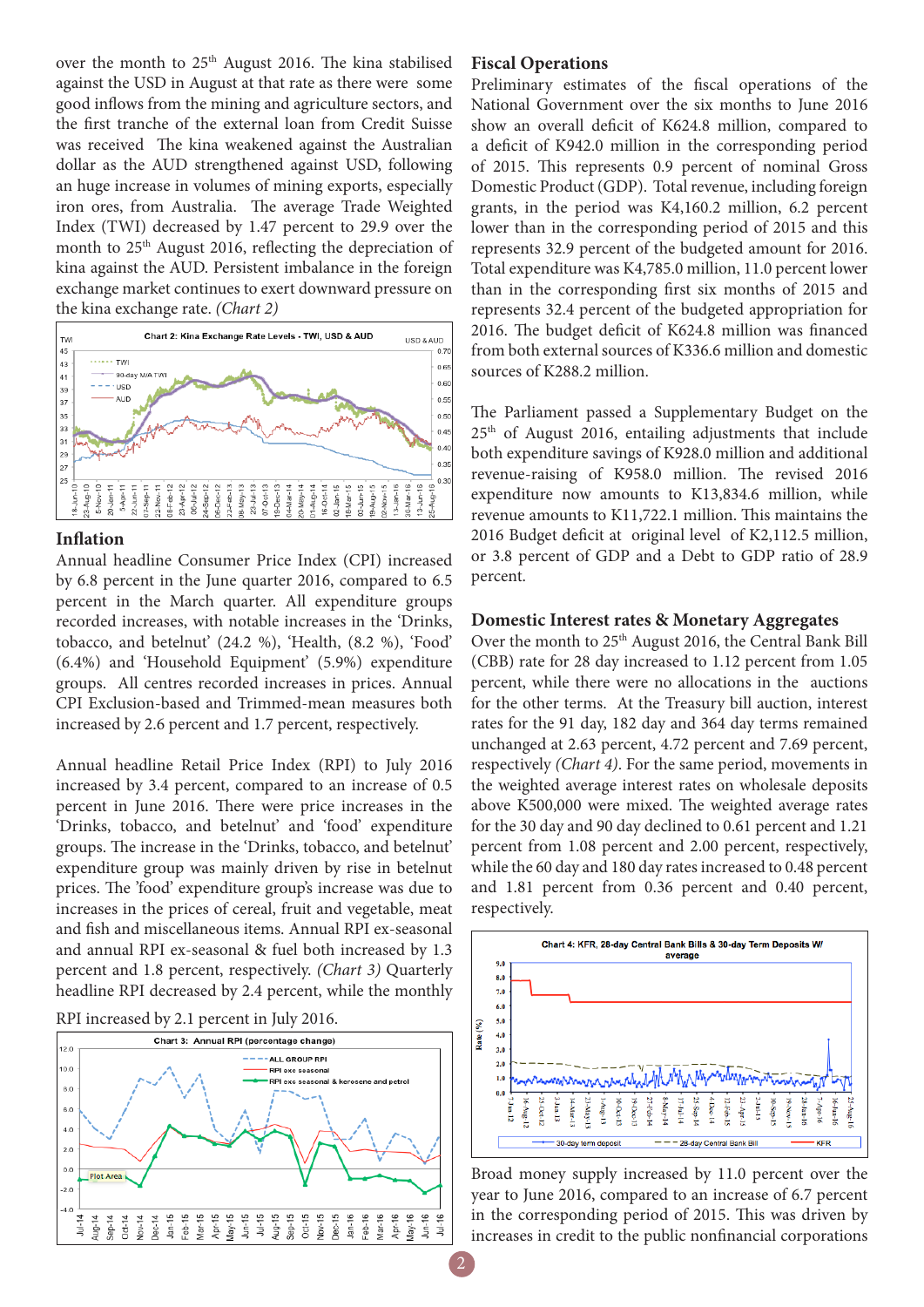over the month to 25<sup>th</sup> August 2016. The kina stabilised against the USD in August at that rate as there were some good inflows from the mining and agriculture sectors, and the first tranche of the external loan from Credit Suisse was received The kina weakened against the Australian dollar as the AUD strengthened against USD, following an huge increase in volumes of mining exports, especially iron ores, from Australia. The average Trade Weighted Index (TWI) decreased by 1.47 percent to 29.9 over the month to 25<sup>th</sup> August 2016, reflecting the depreciation of kina against the AUD. Persistent imbalance in the foreign exchange market continues to exert downward pressure on the kina exchange rate. *(Chart 2)*



#### **Inflation**

Annual headline Consumer Price Index (CPI) increased by 6.8 percent in the June quarter 2016, compared to 6.5 percent in the March quarter. All expenditure groups recorded increases, with notable increases in the 'Drinks, tobacco, and betelnut' (24.2 %), 'Health, (8.2 %), 'Food' (6.4%) and 'Household Equipment' (5.9%) expenditure groups. All centres recorded increases in prices. Annual CPI Exclusion-based and Trimmed-mean measures both increased by 2.6 percent and 1.7 percent, respectively.

Annual headline Retail Price Index (RPI) to July 2016 increased by 3.4 percent, compared to an increase of 0.5 percent in June 2016. There were price increases in the 'Drinks, tobacco, and betelnut' and 'food' expenditure groups. The increase in the 'Drinks, tobacco, and betelnut' expenditure group was mainly driven by rise in betelnut prices. The 'food' expenditure group's increase was due to increases in the prices of cereal, fruit and vegetable, meat and fish and miscellaneous items. Annual RPI ex-seasonal and annual RPI ex-seasonal & fuel both increased by 1.3 percent and 1.8 percent, respectively. *(Chart 3)* Quarterly headline RPI decreased by 2.4 percent, while the monthly





#### **Fiscal Operations**

Preliminary estimates of the fiscal operations of the National Government over the six months to June 2016 show an overall deficit of K624.8 million, compared to a deficit of K942.0 million in the corresponding period of 2015. This represents 0.9 percent of nominal Gross Domestic Product (GDP). Total revenue, including foreign grants, in the period was K4,160.2 million, 6.2 percent lower than in the corresponding period of 2015 and this represents 32.9 percent of the budgeted amount for 2016. Total expenditure was K4,785.0 million, 11.0 percent lower than in the corresponding first six months of 2015 and represents 32.4 percent of the budgeted appropriation for 2016. The budget deficit of K624.8 million was financed from both external sources of K336.6 million and domestic sources of K288.2 million.

The Parliament passed a Supplementary Budget on the 25th of August 2016, entailing adjustments that include both expenditure savings of K928.0 million and additional revenue-raising of K958.0 million. The revised 2016 expenditure now amounts to K13,834.6 million, while revenue amounts to K11,722.1 million. This maintains the 2016 Budget deficit at original level of K2,112.5 million, or 3.8 percent of GDP and a Debt to GDP ratio of 28.9 percent.

#### **Domestic Interest rates & Monetary Aggregates**

Over the month to 25<sup>th</sup> August 2016, the Central Bank Bill (CBB) rate for 28 day increased to 1.12 percent from 1.05 percent, while there were no allocations in the auctions for the other terms. At the Treasury bill auction, interest rates for the 91 day, 182 day and 364 day terms remained unchanged at 2.63 percent, 4.72 percent and 7.69 percent, respectively *(Chart 4)*. For the same period, movements in the weighted average interest rates on wholesale deposits above K500,000 were mixed. The weighted average rates for the 30 day and 90 day declined to 0.61 percent and 1.21 percent from 1.08 percent and 2.00 percent, respectively, while the 60 day and 180 day rates increased to 0.48 percent and 1.81 percent from 0.36 percent and 0.40 percent, respectively.



Broad money supply increased by 11.0 percent over the year to June 2016, compared to an increase of 6.7 percent in the corresponding period of 2015. This was driven by increases in credit to the public nonfinancial corporations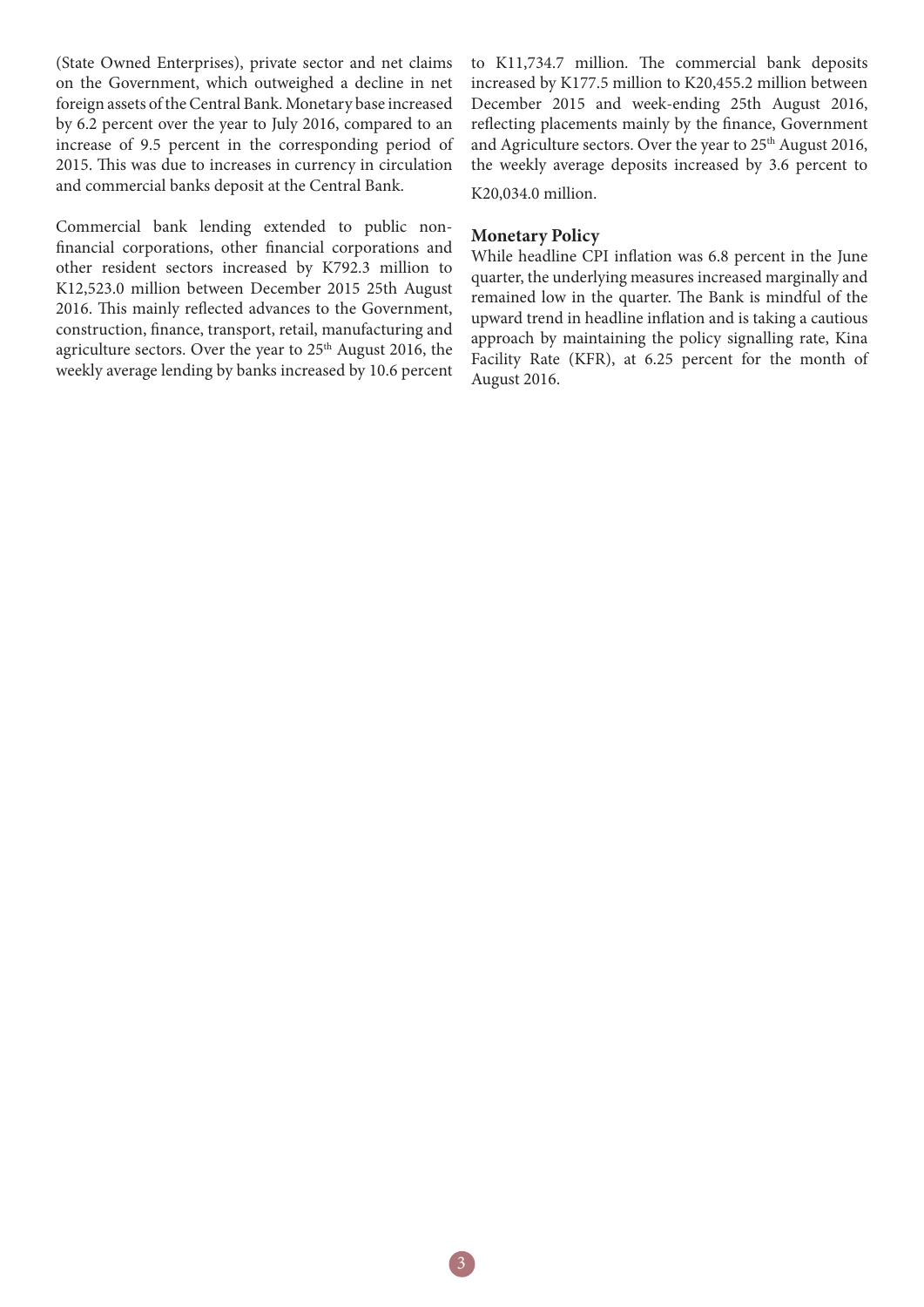(State Owned Enterprises), private sector and net claims on the Government, which outweighed a decline in net foreign assets of the Central Bank. Monetary base increased by 6.2 percent over the year to July 2016, compared to an increase of 9.5 percent in the corresponding period of 2015. This was due to increases in currency in circulation and commercial banks deposit at the Central Bank.

Commercial bank lending extended to public nonfinancial corporations, other financial corporations and other resident sectors increased by K792.3 million to K12,523.0 million between December 2015 25th August 2016. This mainly reflected advances to the Government, construction, finance, transport, retail, manufacturing and agriculture sectors. Over the year to 25<sup>th</sup> August 2016, the weekly average lending by banks increased by 10.6 percent to K11,734.7 million. The commercial bank deposits increased by K177.5 million to K20,455.2 million between December 2015 and week-ending 25th August 2016, reflecting placements mainly by the finance, Government and Agriculture sectors. Over the year to 25<sup>th</sup> August 2016, the weekly average deposits increased by 3.6 percent to K20,034.0 million.

#### **Monetary Policy**

While headline CPI inflation was 6.8 percent in the June quarter, the underlying measures increased marginally and remained low in the quarter. The Bank is mindful of the upward trend in headline inflation and is taking a cautious approach by maintaining the policy signalling rate, Kina Facility Rate (KFR), at 6.25 percent for the month of August 2016.

3